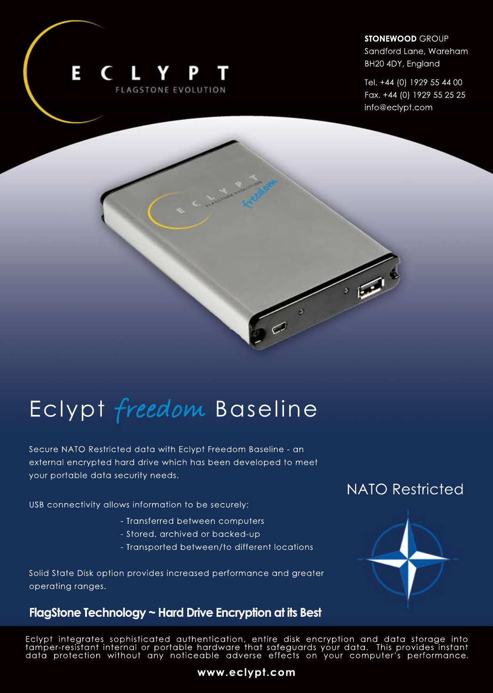

**STONEWOOD** GROUP

Sandford Lane, Wareham BH20 4DY, England

Tel.+44(0)1929554400 Fax. +44 (0) 1929 55 25 25 info@eclypt.com

# Eclypt freedom Baseline

Secure NATO Restricted data with Eclypt Freedom Baseline - an external encrypted hard drive which has been developed to meet your portable data security needs.

USB connectivity allows information to be securely:

- Transferred between computers
- Stored, archived or backed-up
- Transported between/to different locations

Solid State Disk option provides increased performance and greater operating ranges.

### FlagStone Technology ~ Hard Drive Encryption at its Best

## **NATO Restricted**



Eclypt integrates sophisticated authentication, entire disk encryption and data storage into tamper-resistant internal or portable hardware that safeguards your data. This provides instant data protection without any noticeable adverse effects on your computer's performance.

#### **www.eclypt.com**